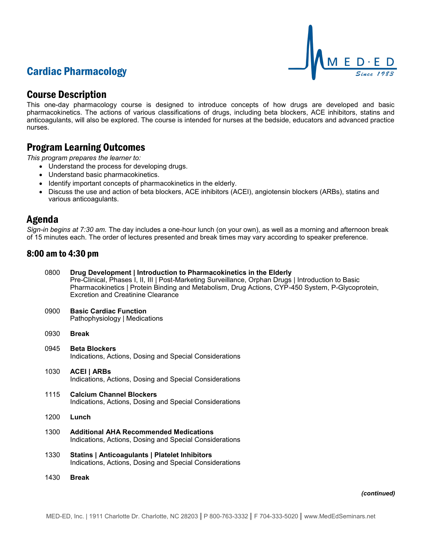# Cardiac Pharmacology



## Course Description

This one-day pharmacology course is designed to introduce concepts of how drugs are developed and basic pharmacokinetics. The actions of various classifications of drugs, including beta blockers, ACE inhibitors, statins and anticoagulants, will also be explored. The course is intended for nurses at the bedside, educators and advanced practice nurses.

## Program Learning Outcomes

*This program prepares the learner to:*

- Understand the process for developing drugs.
- Understand basic pharmacokinetics.
- Identify important concepts of pharmacokinetics in the elderly.
- Discuss the use and action of beta blockers, ACE inhibitors (ACEI), angiotensin blockers (ARBs), statins and various anticoagulants.

## Agenda

*Sign-in begins at 7:30 am.* The day includes a one-hour lunch (on your own), as well as a morning and afternoon break of 15 minutes each. The order of lectures presented and break times may vary according to speaker preference.

### 8:00 am to 4:30 pm

| 0800 | Drug Development   Introduction to Pharmacokinetics in the Elderly<br>Pre-Clinical, Phases I, II, III   Post-Marketing Surveillance, Orphan Drugs   Introduction to Basic<br>Pharmacokinetics   Protein Binding and Metabolism, Drug Actions, CYP-450 System, P-Glycoprotein,<br><b>Excretion and Creatinine Clearance</b> |
|------|----------------------------------------------------------------------------------------------------------------------------------------------------------------------------------------------------------------------------------------------------------------------------------------------------------------------------|
| 0900 | <b>Basic Cardiac Function</b><br>Pathophysiology   Medications                                                                                                                                                                                                                                                             |
| 0930 | <b>Break</b>                                                                                                                                                                                                                                                                                                               |
| 0945 | <b>Beta Blockers</b><br>Indications, Actions, Dosing and Special Considerations                                                                                                                                                                                                                                            |
| 1030 | <b>ACEI   ARBS</b><br>Indications, Actions, Dosing and Special Considerations                                                                                                                                                                                                                                              |
| 1115 | <b>Calcium Channel Blockers</b><br>Indications, Actions, Dosing and Special Considerations                                                                                                                                                                                                                                 |
| 1200 | Lunch                                                                                                                                                                                                                                                                                                                      |
| 1300 | <b>Additional AHA Recommended Medications</b><br>Indications, Actions, Dosing and Special Considerations                                                                                                                                                                                                                   |
| 1330 | <b>Statins   Anticoagulants   Platelet Inhibitors</b><br>Indications, Actions, Dosing and Special Considerations                                                                                                                                                                                                           |
| 1430 | <b>Break</b>                                                                                                                                                                                                                                                                                                               |

*(continued)*